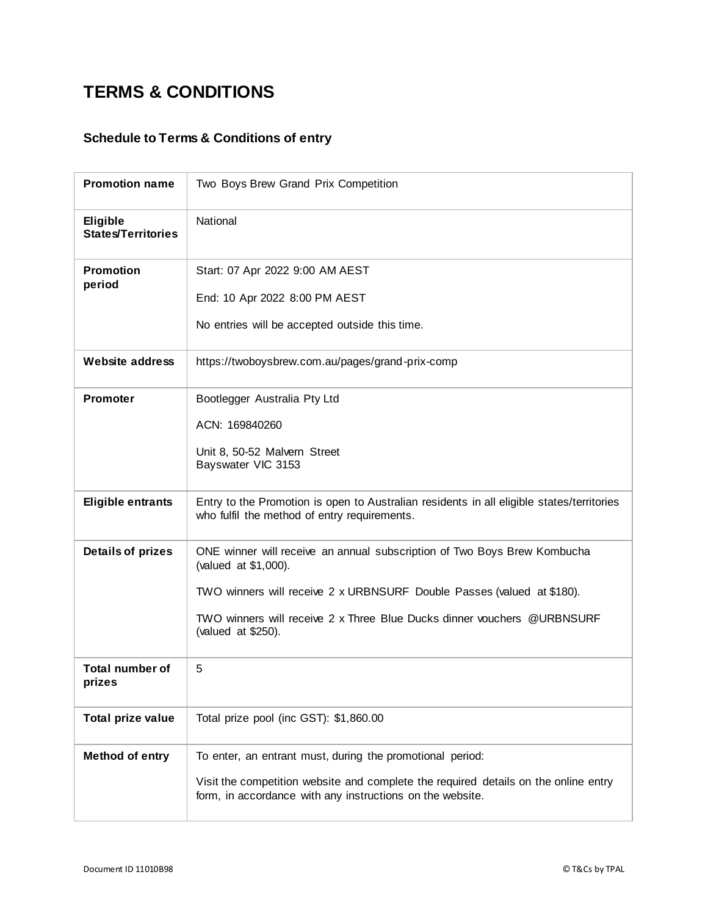## **TERMS & CONDITIONS**

## **Schedule to Terms & Conditions of entry**

| <b>Promotion name</b>                        | Two Boys Brew Grand Prix Competition                                                                                                                                                                                                                                        |
|----------------------------------------------|-----------------------------------------------------------------------------------------------------------------------------------------------------------------------------------------------------------------------------------------------------------------------------|
| <b>Eligible</b><br><b>States/Territories</b> | National                                                                                                                                                                                                                                                                    |
| <b>Promotion</b><br>period                   | Start: 07 Apr 2022 9:00 AM AEST<br>End: 10 Apr 2022 8:00 PM AEST<br>No entries will be accepted outside this time.                                                                                                                                                          |
| <b>Website address</b>                       | https://twoboysbrew.com.au/pages/grand-prix-comp                                                                                                                                                                                                                            |
| <b>Promoter</b>                              | Bootlegger Australia Pty Ltd<br>ACN: 169840260<br>Unit 8, 50-52 Malvern Street<br>Bayswater VIC 3153                                                                                                                                                                        |
| <b>Eligible entrants</b>                     | Entry to the Promotion is open to Australian residents in all eligible states/territories<br>who fulfil the method of entry requirements.                                                                                                                                   |
| <b>Details of prizes</b>                     | ONE winner will receive an annual subscription of Two Boys Brew Kombucha<br>(valued at \$1,000).<br>TWO winners will receive 2 x URBNSURF Double Passes (valued at \$180).<br>TWO winners will receive 2 x Three Blue Ducks dinner vouchers @URBNSURF<br>(valued at \$250). |
| <b>Total number of</b><br>prizes             | 5                                                                                                                                                                                                                                                                           |
| <b>Total prize value</b>                     | Total prize pool (inc GST): \$1,860.00                                                                                                                                                                                                                                      |
| <b>Method of entry</b>                       | To enter, an entrant must, during the promotional period:<br>Visit the competition website and complete the required details on the online entry<br>form, in accordance with any instructions on the website.                                                               |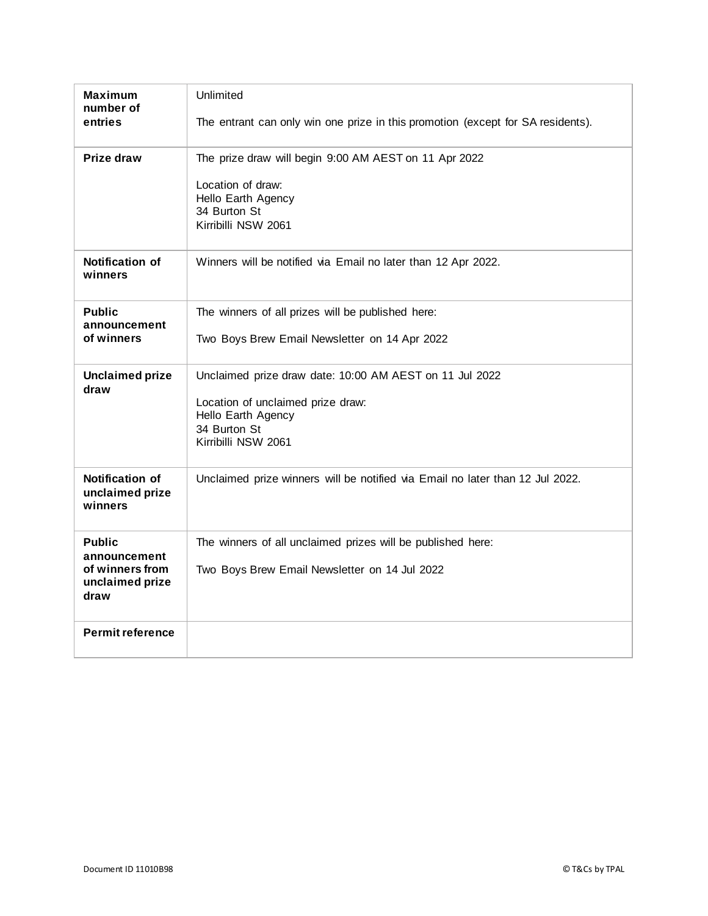| <b>Maximum</b><br>number of                          | Unlimited                                                                       |
|------------------------------------------------------|---------------------------------------------------------------------------------|
| entries                                              | The entrant can only win one prize in this promotion (except for SA residents). |
| Prize draw                                           | The prize draw will begin 9:00 AM AEST on 11 Apr 2022                           |
|                                                      | Location of draw:<br>Hello Earth Agency<br>34 Burton St<br>Kirribilli NSW 2061  |
| <b>Notification of</b><br>winners                    | Winners will be notified via Email no later than 12 Apr 2022.                   |
| <b>Public</b><br>announcement                        | The winners of all prizes will be published here:                               |
| of winners                                           | Two Boys Brew Email Newsletter on 14 Apr 2022                                   |
| <b>Unclaimed prize</b><br>draw                       | Unclaimed prize draw date: 10:00 AM AEST on 11 Jul 2022                         |
|                                                      | Location of unclaimed prize draw:<br>Hello Earth Agency                         |
|                                                      | 34 Burton St<br>Kirribilli NSW 2061                                             |
|                                                      |                                                                                 |
| <b>Notification of</b><br>unclaimed prize<br>winners | Unclaimed prize winners will be notified via Email no later than 12 Jul 2022.   |
| <b>Public</b><br>announcement                        | The winners of all unclaimed prizes will be published here:                     |
| of winners from<br>unclaimed prize<br>draw           | Two Boys Brew Email Newsletter on 14 Jul 2022                                   |
| <b>Permit reference</b>                              |                                                                                 |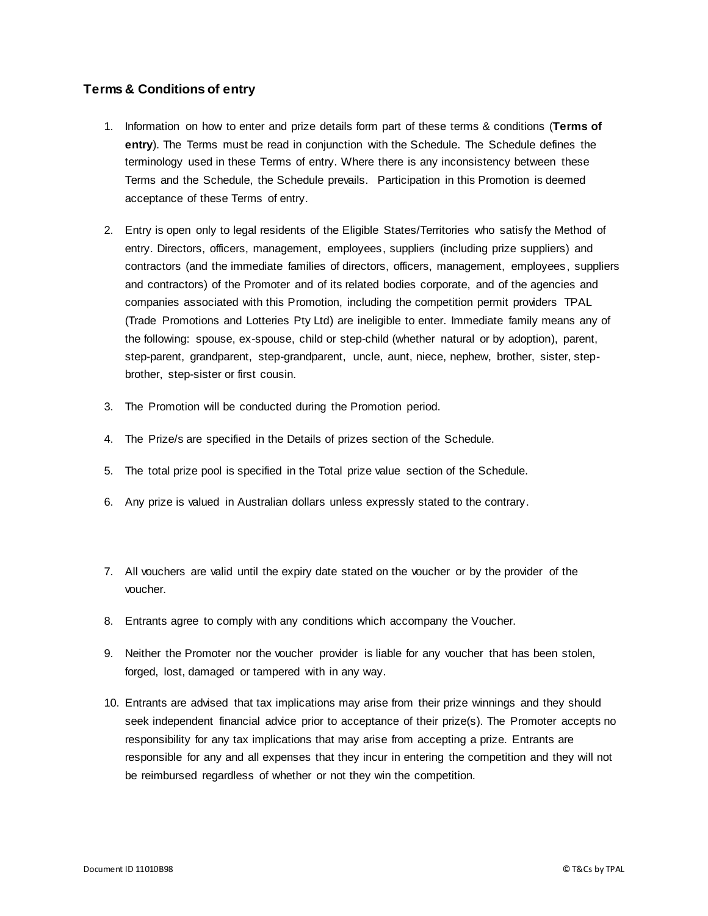## **Terms & Conditions of entry**

- 1. Information on how to enter and prize details form part of these terms & conditions (**Terms of entry**). The Terms must be read in conjunction with the Schedule. The Schedule defines the terminology used in these Terms of entry. Where there is any inconsistency between these Terms and the Schedule, the Schedule prevails. Participation in this Promotion is deemed acceptance of these Terms of entry.
- 2. Entry is open only to legal residents of the Eligible States/Territories who satisfy the Method of entry. Directors, officers, management, employees, suppliers (including prize suppliers) and contractors (and the immediate families of directors, officers, management, employees, suppliers and contractors) of the Promoter and of its related bodies corporate, and of the agencies and companies associated with this Promotion, including the competition permit providers [TPAL](https://www.tpal.com.au/?utm_source=TCs-chance-doc) (Trade Promotions and Lotteries Pty Ltd) are ineligible to enter. Immediate family means any of the following: spouse, ex-spouse, child or step-child (whether natural or by adoption), parent, step-parent, grandparent, step-grandparent, uncle, aunt, niece, nephew, brother, sister, stepbrother, step-sister or first cousin.
- 3. The Promotion will be conducted during the Promotion period.
- 4. The Prize/s are specified in the Details of prizes section of the Schedule.
- 5. The total prize pool is specified in the Total prize value section of the Schedule.
- 6. Any prize is valued in Australian dollars unless expressly stated to the contrary.
- 7. All vouchers are valid until the expiry date stated on the voucher or by the provider of the voucher.
- 8. Entrants agree to comply with any conditions which accompany the Voucher.
- 9. Neither the Promoter nor the voucher provider is liable for any voucher that has been stolen, forged, lost, damaged or tampered with in any way.
- 10. Entrants are advised that tax implications may arise from their prize winnings and they should seek independent financial advice prior to acceptance of their prize(s). The Promoter accepts no responsibility for any tax implications that may arise from accepting a prize. Entrants are responsible for any and all expenses that they incur in entering the competition and they will not be reimbursed regardless of whether or not they win the competition.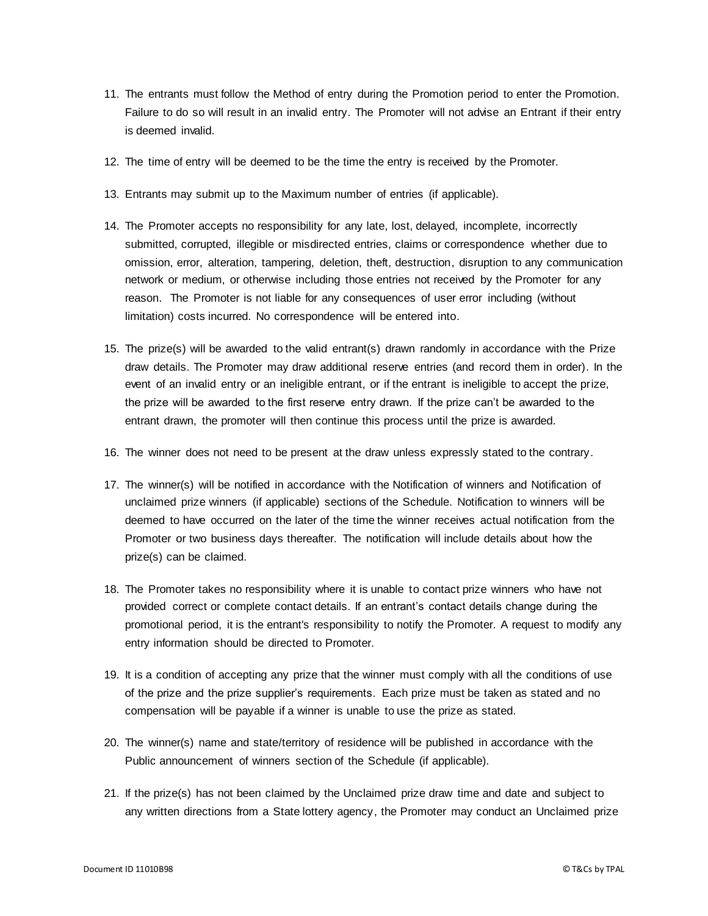- 11. The entrants must follow the Method of entry during the Promotion period to enter the Promotion. Failure to do so will result in an invalid entry. The Promoter will not advise an Entrant if their entry is deemed invalid.
- 12. The time of entry will be deemed to be the time the entry is received by the Promoter.
- 13. Entrants may submit up to the Maximum number of entries (if applicable).
- 14. The Promoter accepts no responsibility for any late, lost, delayed, incomplete, incorrectly submitted, corrupted, illegible or misdirected entries, claims or correspondence whether due to omission, error, alteration, tampering, deletion, theft, destruction, disruption to any communication network or medium, or otherwise including those entries not received by the Promoter for any reason. The Promoter is not liable for any consequences of user error including (without limitation) costs incurred. No correspondence will be entered into.
- 15. The prize(s) will be awarded to the valid entrant(s) drawn randomly in accordance with the Prize draw details. The Promoter may draw additional reserve entries (and record them in order). In the event of an invalid entry or an ineligible entrant, or if the entrant is ineligible to accept the prize, the prize will be awarded to the first reserve entry drawn. If the prize can't be awarded to the entrant drawn, the promoter will then continue this process until the prize is awarded.
- 16. The winner does not need to be present at the draw unless expressly stated to the contrary.
- 17. The winner(s) will be notified in accordance with the Notification of winners and Notification of unclaimed prize winners (if applicable) sections of the Schedule. Notification to winners will be deemed to have occurred on the later of the time the winner receives actual notification from the Promoter or two business days thereafter. The notification will include details about how the prize(s) can be claimed.
- 18. The Promoter takes no responsibility where it is unable to contact prize winners who have not provided correct or complete contact details. If an entrant's contact details change during the promotional period, it is the entrant's responsibility to notify the Promoter. A request to modify any entry information should be directed to Promoter.
- 19. It is a condition of accepting any prize that the winner must comply with all the conditions of use of the prize and the prize supplier's requirements. Each prize must be taken as stated and no compensation will be payable if a winner is unable to use the prize as stated.
- 20. The winner(s) name and state/territory of residence will be published in accordance with the Public announcement of winners section of the Schedule (if applicable).
- 21. If the prize(s) has not been claimed by the Unclaimed prize draw time and date and subject to any written directions from a State lottery agency, the Promoter may conduct an Unclaimed prize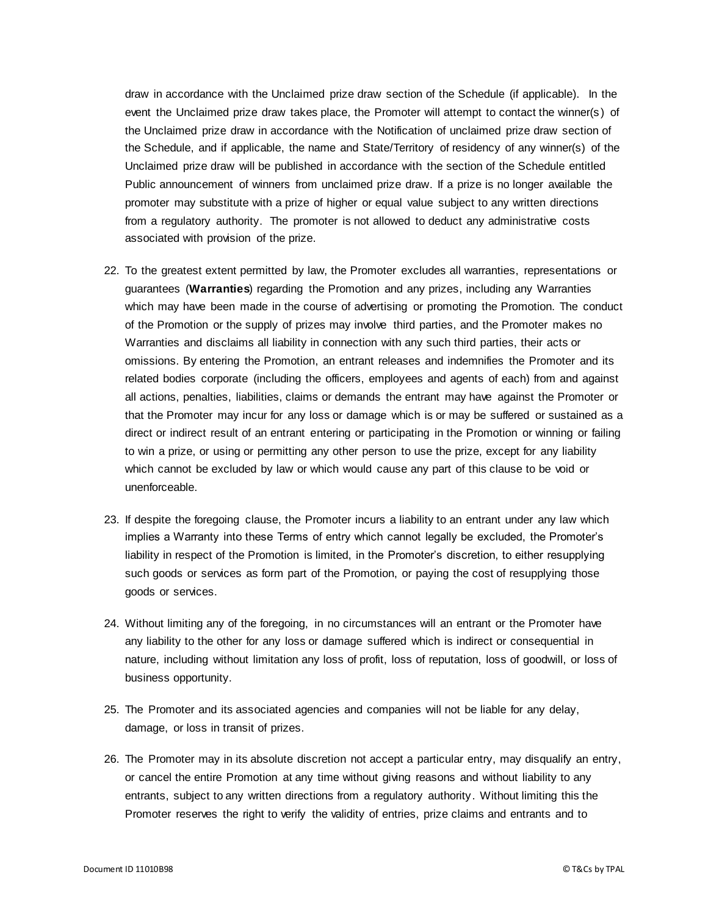draw in accordance with the Unclaimed prize draw section of the Schedule (if applicable). In the event the Unclaimed prize draw takes place, the Promoter will attempt to contact the winner(s ) of the Unclaimed prize draw in accordance with the Notification of unclaimed prize draw section of the Schedule, and if applicable, the name and State/Territory of residency of any winner(s) of the Unclaimed prize draw will be published in accordance with the section of the Schedule entitled Public announcement of winners from unclaimed prize draw. If a prize is no longer available the promoter may substitute with a prize of higher or equal value subject to any written directions from a regulatory authority. The promoter is not allowed to deduct any administrative costs associated with provision of the prize.

- 22. To the greatest extent permitted by law, the Promoter excludes all warranties, representations or guarantees (**Warranties**) regarding the Promotion and any prizes, including any Warranties which may have been made in the course of advertising or promoting the Promotion. The conduct of the Promotion or the supply of prizes may involve third parties, and the Promoter makes no Warranties and disclaims all liability in connection with any such third parties, their acts or omissions. By entering the Promotion, an entrant releases and indemnifies the Promoter and its related bodies corporate (including the officers, employees and agents of each) from and against all actions, penalties, liabilities, claims or demands the entrant may have against the Promoter or that the Promoter may incur for any loss or damage which is or may be suffered or sustained as a direct or indirect result of an entrant entering or participating in the Promotion or winning or failing to win a prize, or using or permitting any other person to use the prize, except for any liability which cannot be excluded by law or which would cause any part of this clause to be void or unenforceable.
- 23. If despite the foregoing clause, the Promoter incurs a liability to an entrant under any law which implies a Warranty into these Terms of entry which cannot legally be excluded, the Promoter's liability in respect of the Promotion is limited, in the Promoter's discretion, to either resupplying such goods or services as form part of the Promotion, or paying the cost of resupplying those goods or services.
- 24. Without limiting any of the foregoing, in no circumstances will an entrant or the Promoter have any liability to the other for any loss or damage suffered which is indirect or consequential in nature, including without limitation any loss of profit, loss of reputation, loss of goodwill, or loss of business opportunity.
- 25. The Promoter and its associated agencies and companies will not be liable for any delay, damage, or loss in transit of prizes.
- 26. The Promoter may in its absolute discretion not accept a particular entry, may disqualify an entry, or cancel the entire Promotion at any time without giving reasons and without liability to any entrants, subject to any written directions from a regulatory authority. Without limiting this the Promoter reserves the right to verify the validity of entries, prize claims and entrants and to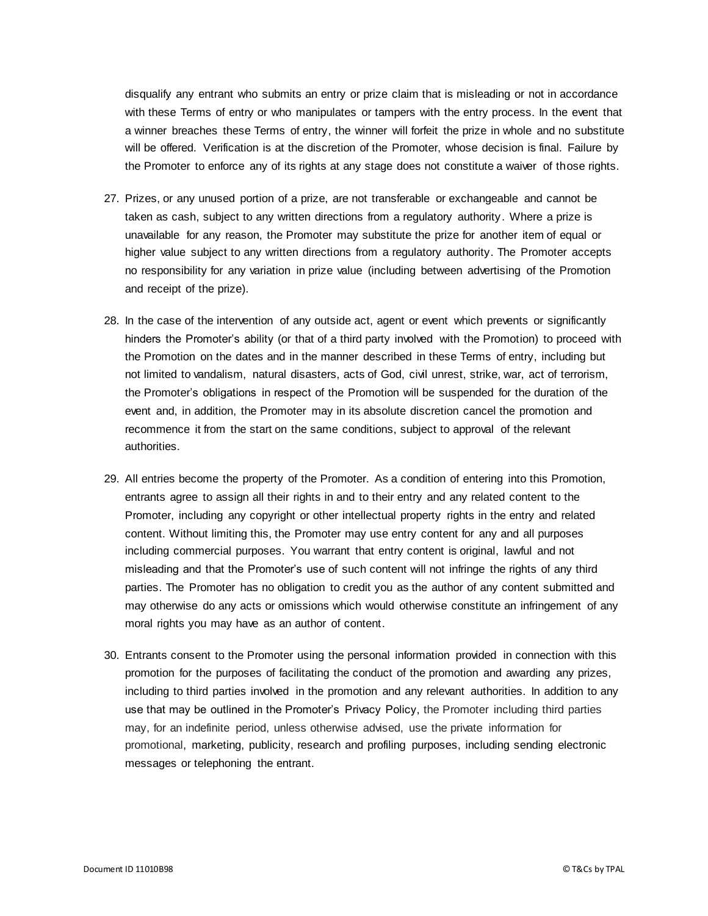disqualify any entrant who submits an entry or prize claim that is misleading or not in accordance with these Terms of entry or who manipulates or tampers with the entry process. In the event that a winner breaches these Terms of entry, the winner will forfeit the prize in whole and no substitute will be offered. Verification is at the discretion of the Promoter, whose decision is final. Failure by the Promoter to enforce any of its rights at any stage does not constitute a waiver of those rights.

- 27. Prizes, or any unused portion of a prize, are not transferable or exchangeable and cannot be taken as cash, subject to any written directions from a regulatory authority. Where a prize is unavailable for any reason, the Promoter may substitute the prize for another item of equal or higher value subject to any written directions from a regulatory authority. The Promoter accepts no responsibility for any variation in prize value (including between advertising of the Promotion and receipt of the prize).
- 28. In the case of the intervention of any outside act, agent or event which prevents or significantly hinders the Promoter's ability (or that of a third party involved with the Promotion) to proceed with the Promotion on the dates and in the manner described in these Terms of entry, including but not limited to vandalism, natural disasters, acts of God, civil unrest, strike, war, act of terrorism, the Promoter's obligations in respect of the Promotion will be suspended for the duration of the event and, in addition, the Promoter may in its absolute discretion cancel the promotion and recommence it from the start on the same conditions, subject to approval of the relevant authorities.
- 29. All entries become the property of the Promoter. As a condition of entering into this Promotion, entrants agree to assign all their rights in and to their entry and any related content to the Promoter, including any copyright or other intellectual property rights in the entry and related content. Without limiting this, the Promoter may use entry content for any and all purposes including commercial purposes. You warrant that entry content is original, lawful and not misleading and that the Promoter's use of such content will not infringe the rights of any third parties. The Promoter has no obligation to credit you as the author of any content submitted and may otherwise do any acts or omissions which would otherwise constitute an infringement of any moral rights you may have as an author of content.
- 30. Entrants consent to the Promoter using the personal information provided in connection with this promotion for the purposes of facilitating the conduct of the promotion and awarding any prizes, including to third parties involved in the promotion and any relevant authorities. In addition to any use that may be outlined in the Promoter's Privacy Policy, the Promoter including third parties may, for an indefinite period, unless otherwise advised, use the private information for promotional, marketing, publicity, research and profiling purposes, including sending electronic messages or telephoning the entrant.